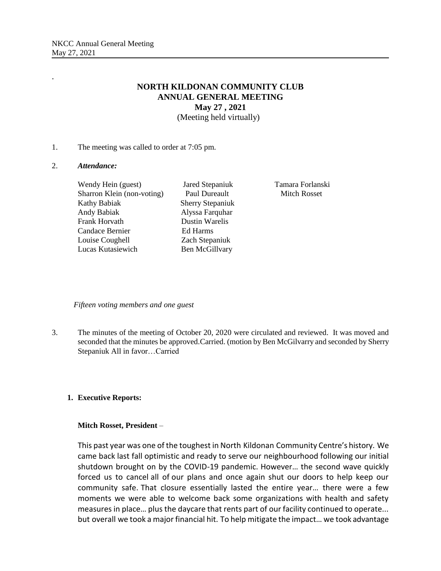# **NORTH KILDONAN COMMUNITY CLUB ANNUAL GENERAL MEETING May 27 , 2021** (Meeting held virtually)

1. The meeting was called to order at 7:05 pm.

#### 2. *Attendance:*

.

Wendy Hein (guest) Jared Stepaniuk Tamara Forlanski Sharron Klein (non-voting) Paul Dureault Mitch Rosset Kathy Babiak Sherry Stepaniuk Andy Babiak Alyssa Farquhar Frank Horvath Dustin Warelis Candace Bernier Ed Harms Louise Coughell Zach Stepaniuk Lucas Kutasiewich Ben McGillvary

 *Fifteen voting members and one guest*

3. The minutes of the meeting of October 20, 2020 were circulated and reviewed. It was moved and seconded that the minutes be approved.Carried. (motion by Ben McGilvarry and seconded by Sherry Stepaniuk All in favor…Carried

# **1. Executive Reports:**

# **Mitch Rosset, President** –

This past year was one of the toughest in North Kildonan Community Centre's history. We came back last fall optimistic and ready to serve our neighbourhood following our initial shutdown brought on by the COVID-19 pandemic. However… the second wave quickly forced us to cancel all of our plans and once again shut our doors to help keep our community safe. That closure essentially lasted the entire year… there were a few moments we were able to welcome back some organizations with health and safety measures in place… plus the daycare that rents part of our facility continued to operate... but overall we took a major financial hit. To help mitigate the impact… we took advantage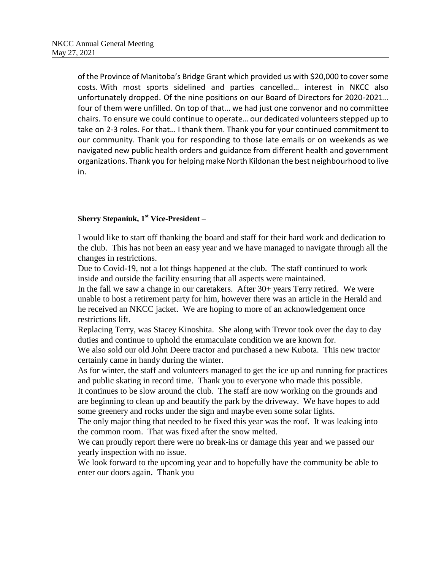of the Province of Manitoba's Bridge Grant which provided us with \$20,000 to cover some costs. With most sports sidelined and parties cancelled… interest in NKCC also unfortunately dropped. Of the nine positions on our Board of Directors for 2020-2021… four of them were unfilled. On top of that… we had just one convenor and no committee chairs. To ensure we could continue to operate… our dedicated volunteers stepped up to take on 2-3 roles. For that… I thank them. Thank you for your continued commitment to our community. Thank you for responding to those late emails or on weekends as we navigated new public health orders and guidance from different health and government organizations. Thank you for helping make North Kildonan the best neighbourhood to live in.

# **Sherry Stepaniuk, 1st Vice-President** –

I would like to start off thanking the board and staff for their hard work and dedication to the club. This has not been an easy year and we have managed to navigate through all the changes in restrictions.

Due to Covid-19, not a lot things happened at the club. The staff continued to work inside and outside the facility ensuring that all aspects were maintained.

In the fall we saw a change in our caretakers. After 30+ years Terry retired. We were unable to host a retirement party for him, however there was an article in the Herald and he received an NKCC jacket. We are hoping to more of an acknowledgement once restrictions lift.

Replacing Terry, was Stacey Kinoshita. She along with Trevor took over the day to day duties and continue to uphold the emmaculate condition we are known for.

We also sold our old John Deere tractor and purchased a new Kubota. This new tractor certainly came in handy during the winter.

As for winter, the staff and volunteers managed to get the ice up and running for practices and public skating in record time. Thank you to everyone who made this possible.

It continues to be slow around the club. The staff are now working on the grounds and are beginning to clean up and beautify the park by the driveway. We have hopes to add some greenery and rocks under the sign and maybe even some solar lights.

The only major thing that needed to be fixed this year was the roof. It was leaking into the common room. That was fixed after the snow melted.

We can proudly report there were no break-ins or damage this year and we passed our yearly inspection with no issue.

We look forward to the upcoming year and to hopefully have the community be able to enter our doors again. Thank you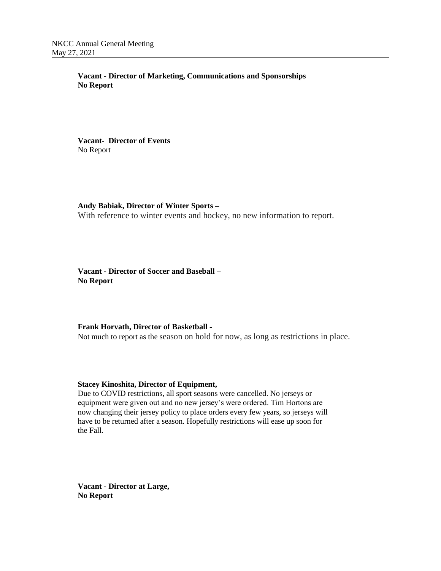**Vacant - Director of Marketing, Communications and Sponsorships No Report**

**Vacant- Director of Events** No Report

**Andy Babiak, Director of Winter Sports –** With reference to winter events and hockey, no new information to report.

**Vacant - Director of Soccer and Baseball – No Report**

**Frank Horvath, Director of Basketball -**

Not much to report as the season on hold for now, as long as restrictions in place.

#### **Stacey Kinoshita, Director of Equipment,**

Due to COVID restrictions, all sport seasons were cancelled. No jerseys or equipment were given out and no new jersey's were ordered. Tim Hortons are now changing their jersey policy to place orders every few years, so jerseys will have to be returned after a season. Hopefully restrictions will ease up soon for the Fall.

**Vacant - Director at Large, No Report**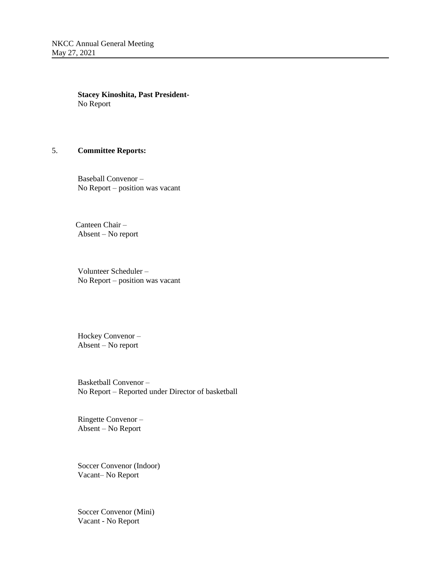**Stacey Kinoshita, Past President-**No Report

# 5. **Committee Reports:**

Baseball Convenor – No Report – position was vacant

 Canteen Chair – Absent – No report

Volunteer Scheduler – No Report – position was vacant

Hockey Convenor – Absent – No report

Basketball Convenor – No Report – Reported under Director of basketball

Ringette Convenor – Absent – No Report

Soccer Convenor (Indoor) Vacant– No Report

Soccer Convenor (Mini) Vacant - No Report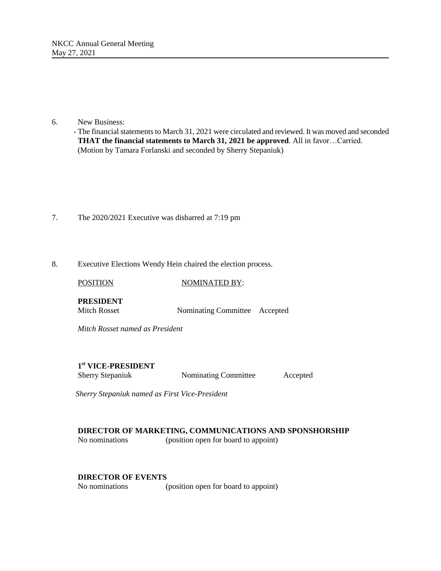# 6. New Business:

 - The financial statements to March 31, 2021 were circulated and reviewed. It was moved and seconded **THAT the financial statements to March 31, 2021 be approved**. All in favor…Carried. (Motion by Tamara Forlanski and seconded by Sherry Stepaniuk)

- 7. The 2020/2021 Executive was disbarred at 7:19 pm
- 8. Executive Elections Wendy Hein chaired the election process.

POSITION NOMINATED BY: **PRESIDENT** Mitch Rosset Nominating Committee Accepted *Mitch Rosset named as President*

# **1 st VICE-PRESIDENT**

Sherry Stepaniuk Nominating Committee Accepted

*Sherry Stepaniuk named as First Vice-President*

# **DIRECTOR OF MARKETING, COMMUNICATIONS AND SPONSHORSHIP**

No nominations (position open for board to appoint)

# **DIRECTOR OF EVENTS**

No nominations (position open for board to appoint)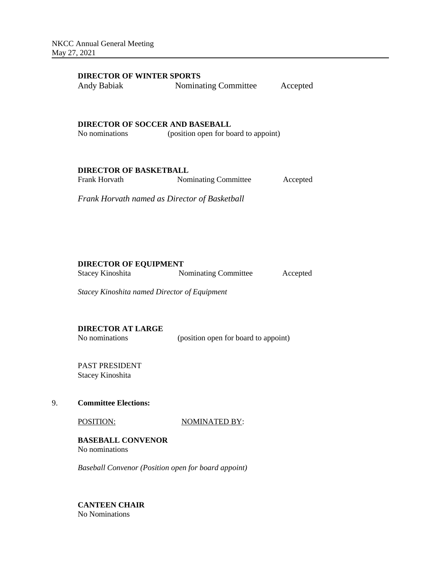# **DIRECTOR OF WINTER SPORTS**

| Andy Babiak | Nominating Committee | Accepted |
|-------------|----------------------|----------|
|-------------|----------------------|----------|

#### **DIRECTOR OF SOCCER AND BASEBALL**

No nominations (position open for board to appoint)

#### **DIRECTOR OF BASKETBALL**

| Frank Horvath | Nominating Committee | Accepted |
|---------------|----------------------|----------|
|---------------|----------------------|----------|

*Frank Horvath named as Director of Basketball*

# **DIRECTOR OF EQUIPMENT**

Stacey Kinoshita Nominating Committee Accepted

*Stacey Kinoshita named Director of Equipment*

**DIRECTOR AT LARGE**

No nominations (position open for board to appoint)

PAST PRESIDENT Stacey Kinoshita

# 9. **Committee Elections:**

POSITION: NOMINATED BY:

**BASEBALL CONVENOR** No nominations

*Baseball Convenor (Position open for board appoint)*

**CANTEEN CHAIR** No Nominations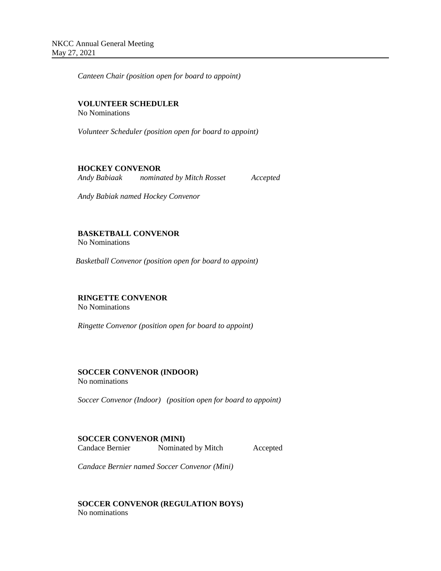*Canteen Chair (position open for board to appoint)*

# **VOLUNTEER SCHEDULER**

No Nominations

*Volunteer Scheduler (position open for board to appoint)*

# **HOCKEY CONVENOR**

*Andy Babiaak nominated by Mitch Rosset Accepted*

*Andy Babiak named Hockey Convenor* 

# **BASKETBALL CONVENOR**

No Nominations

*Basketball Convenor (position open for board to appoint)*

# **RINGETTE CONVENOR**

No Nominations

*Ringette Convenor (position open for board to appoint)*

# **SOCCER CONVENOR (INDOOR)**

No nominations

*Soccer Convenor (Indoor) (position open for board to appoint)*

# **SOCCER CONVENOR (MINI)**

Candace Bernier Nominated by Mitch Accepted

*Candace Bernier named Soccer Convenor (Mini)* 

**SOCCER CONVENOR (REGULATION BOYS)** No nominations